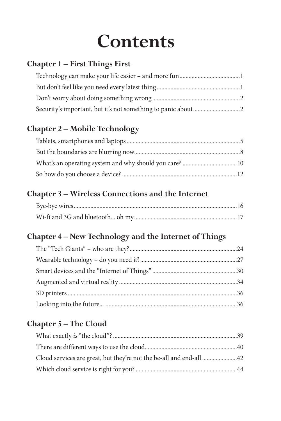## **Contents**

#### **Chapter 1 – First Things First**

#### **Chapter 2 – Mobile Technology**

#### **Chapter 3 – Wireless Connections and the Internet**

#### **Chapter 4 – New Technology and the Internet of Things**

#### **Chapter 5 – The Cloud**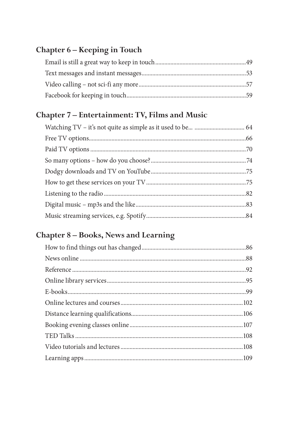#### Chapter 6 - Keeping in Touch

#### Chapter 7 - Entertainment: TV, Films and Music

#### Chapter 8 - Books, News and Learning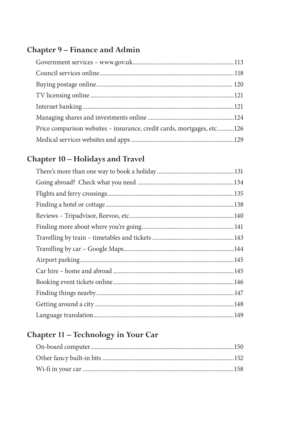#### Chapter 9 - Finance and Admin

| Price comparison websites - insurance, credit cards, mortgages, etc126 |  |
|------------------------------------------------------------------------|--|
|                                                                        |  |

#### Chapter 10 - Holidays and Travel

#### Chapter 11 - Technology in Your Car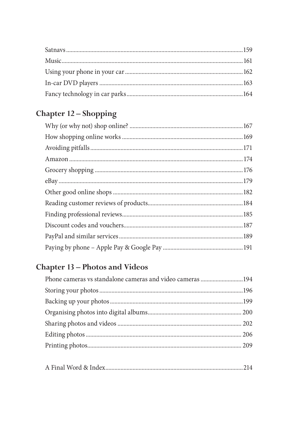### Chapter 12 - Shopping

### **Chapter 13 - Photos and Videos**

| Phone cameras vs standalone cameras and video cameras 194 |  |
|-----------------------------------------------------------|--|
|                                                           |  |
|                                                           |  |
|                                                           |  |
|                                                           |  |
|                                                           |  |
|                                                           |  |
|                                                           |  |

|--|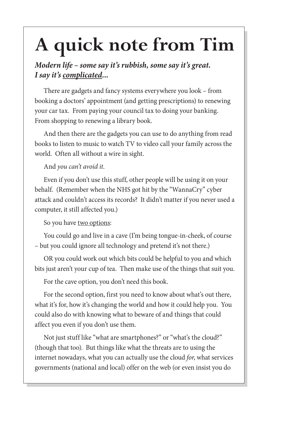# **A quick note from Tim**

#### *Modern life – some say it's rubbish, some say it's great. I say it's complicated...*

There are gadgets and fancy systems everywhere you look – from booking a doctors' appointment (and getting prescriptions) to renewing your car tax. From paying your council tax to doing your banking. From shopping to renewing a library book.

And then there are the gadgets you can use to do anything from read books to listen to music to watch TV to video call your family across the world. Often all without a wire in sight.

#### And *you can't avoid it*.

Even if you don't use this stuff, other people will be using it on your behalf. (Remember when the NHS got hit by the "WannaCry" cyber attack and couldn't access its records? It didn't matter if you never used a computer, it still affected you.)

So you have two options:

You could go and live in a cave (I'm being tongue-in-cheek, of course – but you could ignore all technology and pretend it's not there.)

OR you could work out which bits could be helpful to you and which bits just aren't your cup of tea. Then make use of the things that suit you.

For the cave option, you don't need this book.

For the second option, first you need to know about what's out there, what it's for, how it's changing the world and how it could help you. You could also do with knowing what to beware of and things that could affect you even if you don't use them.

Not just stuff like "what are smartphones?" or "what's the cloud?" (though that too). But things like what the threats are to using the internet nowadays, what you can actually use the cloud *for*, what services governments (national and local) offer on the web (or even insist you do